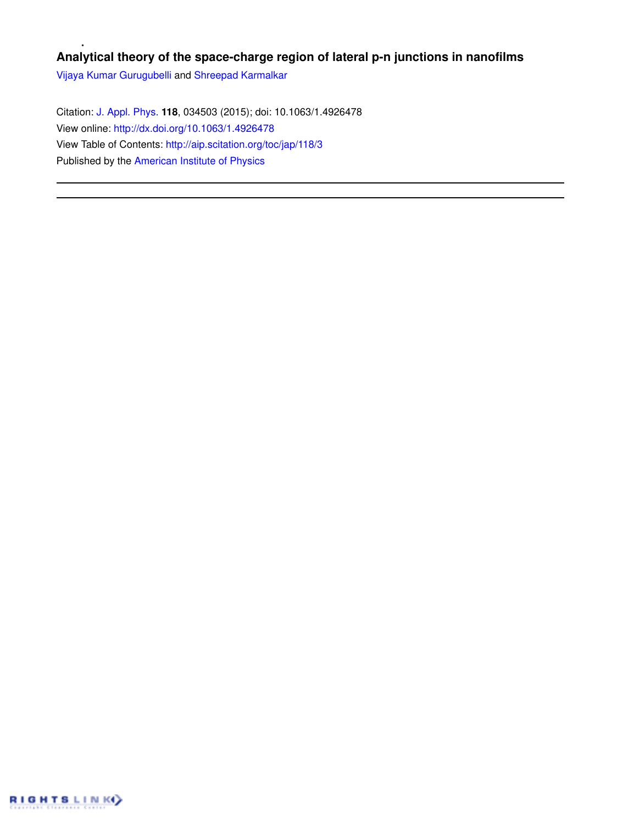# **Analytical theory of the space-charge region of lateral p-n junctions in nanofilms**

Vijaya Kumar Gurugubelli and Shreepad Karmalkar

Citation: J. Appl. Phys. **118**, 034503 (2015); doi: 10.1063/1.4926478 View online: http://dx.doi.org/10.1063/1.4926478 View Table of Contents: http://aip.scitation.org/toc/jap/118/3 Published by the American Institute of Physics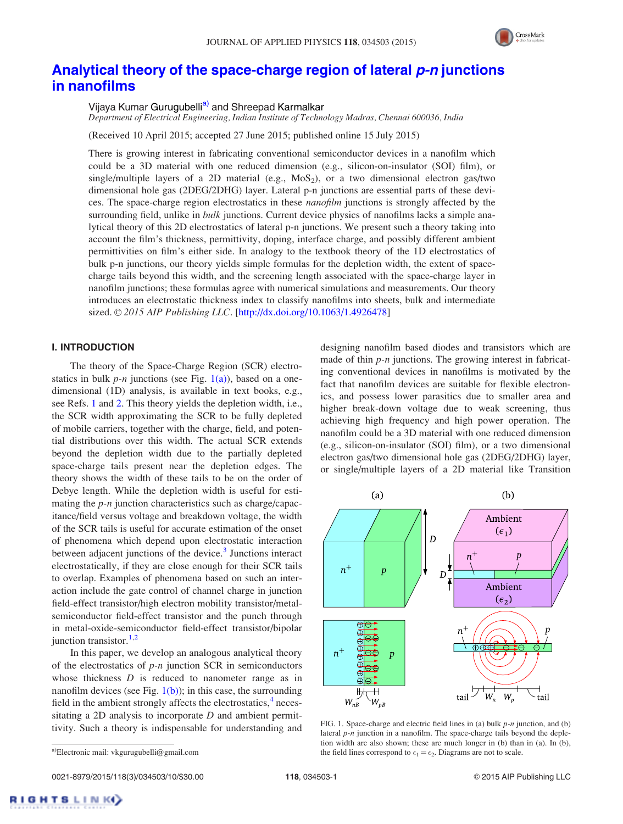

# Analytical theory of the space-charge region of lateral p-n junctions in nanofilms

Vijaya Kumar Gurugubelli<sup>a)</sup> and Shreepad Karmalkar

*Department of Electrical Engineering, Indian Institute of Technology Madras, Chennai 600036, India*

(Received 10 April 2015; accepted 27 June 2015; published online 15 July 2015)

There is growing interest in fabricating conventional semiconductor devices in a nanofilm which could be a 3D material with one reduced dimension (e.g., silicon-on-insulator (SOI) film), or single/multiple layers of a 2D material (e.g.,  $MoS<sub>2</sub>$ ), or a two dimensional electron gas/two dimensional hole gas (2DEG/2DHG) layer. Lateral p-n junctions are essential parts of these devices. The space-charge region electrostatics in these *nanofilm* junctions is strongly affected by the surrounding field, unlike in *bulk* junctions. Current device physics of nanofilms lacks a simple analytical theory of this 2D electrostatics of lateral p-n junctions. We present such a theory taking into account the film's thickness, permittivity, doping, interface charge, and possibly different ambient permittivities on film's either side. In analogy to the textbook theory of the 1D electrostatics of bulk p-n junctions, our theory yields simple formulas for the depletion width, the extent of spacecharge tails beyond this width, and the screening length associated with the space-charge layer in nanofilm junctions; these formulas agree with numerical simulations and measurements. Our theory introduces an electrostatic thickness index to classify nanofilms into sheets, bulk and intermediate sized. © 2015 AIP Publishing LLC. [http://dx.doi.org/10.1063/1.4926478]

## I. INTRODUCTION

The theory of the Space-Charge Region (SCR) electrostatics in bulk  $p$ -n junctions (see Fig.  $1(a)$ ), based on a onedimensional (1D) analysis, is available in text books, e.g., see Refs. 1 and 2. This theory yields the depletion width, i.e., the SCR width approximating the SCR to be fully depleted of mobile carriers, together with the charge, field, and potential distributions over this width. The actual SCR extends beyond the depletion width due to the partially depleted space-charge tails present near the depletion edges. The theory shows the width of these tails to be on the order of Debye length. While the depletion width is useful for estimating the *p-n* junction characteristics such as charge/capacitance/field versus voltage and breakdown voltage, the width of the SCR tails is useful for accurate estimation of the onset of phenomena which depend upon electrostatic interaction between adjacent junctions of the device.<sup>3</sup> Junctions interact electrostatically, if they are close enough for their SCR tails to overlap. Examples of phenomena based on such an interaction include the gate control of channel charge in junction field-effect transistor/high electron mobility transistor/metalsemiconductor field-effect transistor and the punch through in metal-oxide-semiconductor field-effect transistor/bipolar junction transistor. $1,2$ 

In this paper, we develop an analogous analytical theory of the electrostatics of *p-n* junction SCR in semiconductors whose thickness *D* is reduced to nanometer range as in nanofilm devices (see Fig.  $1(b)$ ); in this case, the surrounding field in the ambient strongly affects the electrostatics, $4$  necessitating a 2D analysis to incorporate *D* and ambient permittivity. Such a theory is indispensable for understanding and designing nanofilm based diodes and transistors which are made of thin *p-n* junctions. The growing interest in fabricating conventional devices in nanofilms is motivated by the fact that nanofilm devices are suitable for flexible electronics, and possess lower parasitics due to smaller area and higher break-down voltage due to weak screening, thus achieving high frequency and high power operation. The nanofilm could be a 3D material with one reduced dimension (e.g., silicon-on-insulator (SOI) film), or a two dimensional electron gas/two dimensional hole gas (2DEG/2DHG) layer, or single/multiple layers of a 2D material like Transition



FIG. 1. Space-charge and electric field lines in (a) bulk *p-n* junction, and (b) lateral *p-n* junction in a nanofilm. The space-charge tails beyond the depletion width are also shown; these are much longer in (b) than in (a). In (b), a)Electronic mail: vkgurugubelli@gmail.com the field lines correspond to  $\epsilon_1 = \epsilon_2$ . Diagrams are not to scale.

**IGHTSLINKO**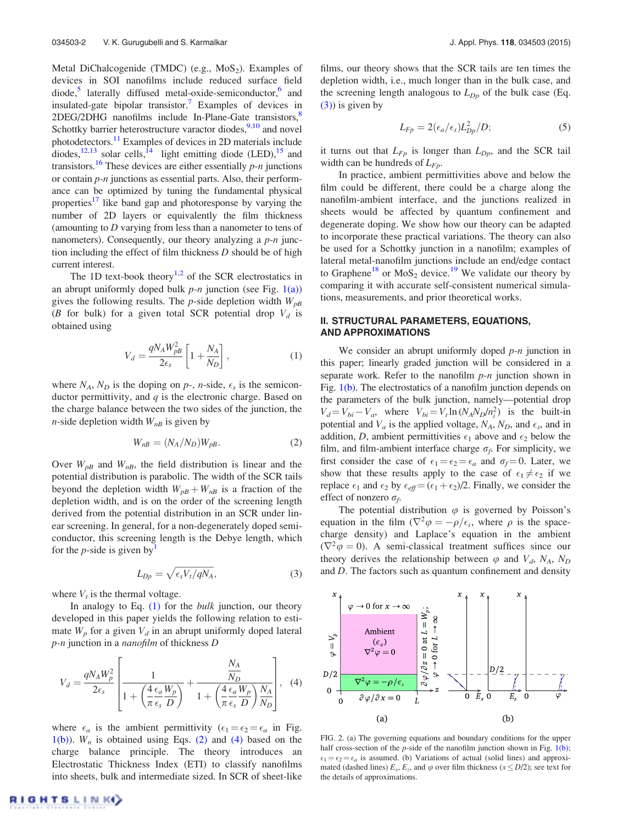Metal DiChalcogenide (TMDC) (e.g.,  $MoS<sub>2</sub>$ ). Examples of devices in SOI nanofilms include reduced surface field diode,<sup>5</sup> laterally diffused metal-oxide-semiconductor,<sup>6</sup> and insulated-gate bipolar transistor.<sup>7</sup> Examples of devices in  $2$ DEG/2DHG nanofilms include In-Plane-Gate transistors, $8$ Schottky barrier heterostructure varactor diodes,  $9,10$  and novel photodetectors.<sup>11</sup> Examples of devices in 2D materials include diodes, $12,13$  solar cells, $14$  light emitting diode (LED), $15$  and transistors.<sup>16</sup> These devices are either essentially  $p$ -*n* junctions or contain *p-n* junctions as essential parts. Also, their performance can be optimized by tuning the fundamental physical properties<sup>17</sup> like band gap and photoresponse by varying the number of 2D layers or equivalently the film thickness (amounting to *D* varying from less than a nanometer to tens of nanometers). Consequently, our theory analyzing a *p-n* junction including the effect of film thickness *D* should be of high current interest.

The 1D text-book theory $1,2$  of the SCR electrostatics in an abrupt uniformly doped bulk *p-n* junction (see Fig. 1(a)) gives the following results. The *p*-side depletion width *WpB* (*B* for bulk) for a given total SCR potential drop  $V_d$  is obtained using

$$
V_d = \frac{qN_A W_{pB}^2}{2\epsilon_s} \left[ 1 + \frac{N_A}{N_D} \right],\tag{1}
$$

where  $N_A$ ,  $N_D$  is the doping on  $p$ -, *n*-side,  $\epsilon_s$  is the semiconductor permittivity, and *q* is the electronic charge. Based on the charge balance between the two sides of the junction, the *n*-side depletion width  $W_{nB}$  is given by

$$
W_{nB} = (N_A/N_D)W_{pB}.
$$
 (2)

Over  $W_{pB}$  and  $W_{nB}$ , the field distribution is linear and the potential distribution is parabolic. The width of the SCR tails beyond the depletion width  $W_{pB} + W_{nB}$  is a fraction of the depletion width, and is on the order of the screening length derived from the potential distribution in an SCR under linear screening. In general, for a non-degenerately doped semiconductor, this screening length is the Debye length, which for the  $p$ -side is given by

$$
L_{Dp} = \sqrt{\epsilon_s V_t / qN_A},\tag{3}
$$

where  $V_t$  is the thermal voltage.

In analogy to Eq. (1) for the *bulk* junction, our theory developed in this paper yields the following relation to estimate  $W_p$  for a given  $V_d$  in an abrupt uniformly doped lateral *p-n* junction in a *nanofilm* of thickness *D*

$$
V_d = \frac{qN_A W_p^2}{2\epsilon_s} \left[ \frac{1}{1 + \left(\frac{4}{\pi} \frac{\epsilon_a W_p}{\epsilon_s D}\right)} + \frac{\frac{N_A}{N_D}}{1 + \left(\frac{4}{\pi} \frac{\epsilon_a W_p}{\epsilon_s D}\right) \frac{N_A}{N_D}} \right], \quad (4)
$$

where  $\epsilon_a$  is the ambient permittivity  $(\epsilon_1 = \epsilon_2 = \epsilon_a$  in Fig.  $1(b)$ ).  $W_n$  is obtained using Eqs. (2) and (4) based on the charge balance principle. The theory introduces an Electrostatic Thickness Index (ETI) to classify nanofilms into sheets, bulk and intermediate sized. In SCR of sheet-like films, our theory shows that the SCR tails are ten times the depletion width, i.e., much longer than in the bulk case, and the screening length analogous to  $L_{Dp}$  of the bulk case (Eq. (3)) is given by

$$
L_{Fp} = 2(\epsilon_a/\epsilon_s)L_{Dp}^2/D;
$$
\n(5)

it turns out that  $L_{F_p}$  is longer than  $L_{D_p}$ , and the SCR tail width can be hundreds of *LFp*.

In practice, ambient permittivities above and below the film could be different, there could be a charge along the nanofilm-ambient interface, and the junctions realized in sheets would be affected by quantum confinement and degenerate doping. We show how our theory can be adapted to incorporate these practical variations. The theory can also be used for a Schottky junction in a nanofilm; examples of lateral metal-nanofilm junctions include an end/edge contact to Graphene<sup>18</sup> or MoS<sub>2</sub> device.<sup>19</sup> We validate our theory by comparing it with accurate self-consistent numerical simulations, measurements, and prior theoretical works.

## II. STRUCTURAL PARAMETERS, EQUATIONS, AND APPROXIMATIONS

We consider an abrupt uniformly doped *p-n* junction in this paper; linearly graded junction will be considered in a separate work. Refer to the nanofilm *p-n* junction shown in Fig. 1(b). The electrostatics of a nanofilm junction depends on the parameters of the bulk junction, namely—potential drop  $V_d = V_{bi} - V_a$ , where  $V_{bi} = V_t \ln (N_A N_D / n_i^2)$  is the built-in potential and  $V_a$  is the applied voltage,  $N_A$ ,  $N_D$ , and  $\epsilon_s$ , and in addition, *D*, ambient permittivities  $\epsilon_1$  above and  $\epsilon_2$  below the film, and film-ambient interface charge  $\sigma_f$ . For simplicity, we first consider the case of  $\epsilon_1 = \epsilon_2 = \epsilon_a$  and  $\sigma_f = 0$ . Later, we show that these results apply to the case of  $\epsilon_1 \neq \epsilon_2$  if we replace  $\epsilon_1$  and  $\epsilon_2$  by  $\epsilon_{\text{eff}} = (\epsilon_1 + \epsilon_2)/2$ . Finally, we consider the effect of nonzero  $\sigma_f$ .

The potential distribution  $\varphi$  is governed by Poisson's equation in the film  $(\nabla^2 \varphi = -\rho/\epsilon_s)$ , where  $\rho$  is the spacecharge density) and Laplace's equation in the ambient  $(\nabla^2 \varphi = 0)$ . A semi-classical treatment suffices since our theory derives the relationship between  $\varphi$  and  $V_d$ ,  $N_A$ ,  $N_D$ and *D*. The factors such as quantum confinement and density



FIG. 2. (a) The governing equations and boundary conditions for the upper half cross-section of the *p*-side of the nanofilm junction shown in Fig. 1(b);  $\epsilon_1 = \epsilon_2 = \epsilon_a$  is assumed. (b) Variations of actual (solid lines) and approximated (dashed lines)  $E_x$ ,  $E_z$ , and  $\varphi$  over film thickness ( $x \leq D/2$ ); see text for the details of approximations.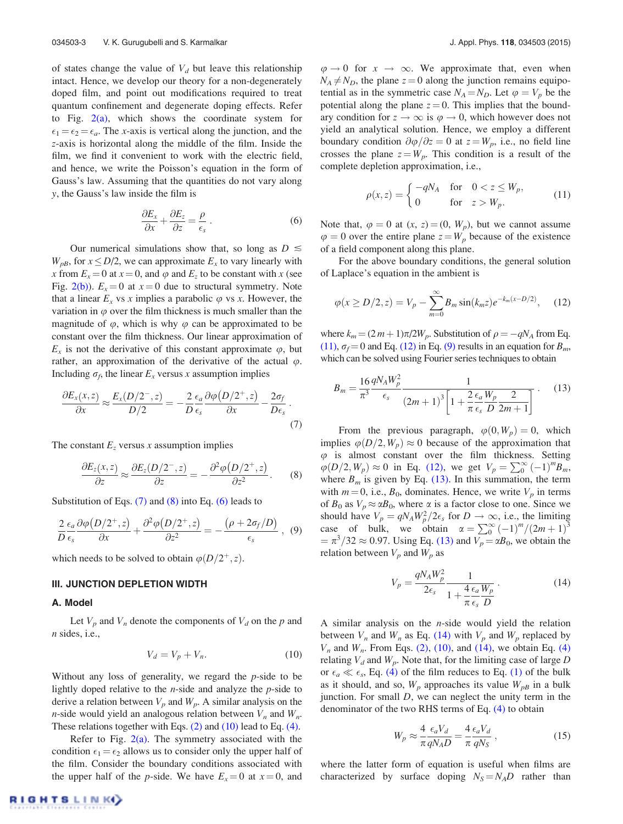of states change the value of  $V_d$  but leave this relationship intact. Hence, we develop our theory for a non-degenerately doped film, and point out modifications required to treat quantum confinement and degenerate doping effects. Refer to Fig.  $2(a)$ , which shows the coordinate system for  $\epsilon_1 = \epsilon_2 = \epsilon_a$ . The *x*-axis is vertical along the junction, and the *z*-axis is horizontal along the middle of the film. Inside the film, we find it convenient to work with the electric field, and hence, we write the Poisson's equation in the form of Gauss's law. Assuming that the quantities do not vary along *y*, the Gauss's law inside the film is

$$
\frac{\partial E_x}{\partial x} + \frac{\partial E_z}{\partial z} = \frac{\rho}{\epsilon_s} \,. \tag{6}
$$

Our numerical simulations show that, so long as  $D \leq$  $W_{pB}$ , for  $x \le D/2$ , we can approximate  $E_x$  to vary linearly with *x* from  $E_x = 0$  at  $x = 0$ , and  $\varphi$  and  $E_z$  to be constant with *x* (see Fig. 2(b)).  $E_x = 0$  at  $x = 0$  due to structural symmetry. Note that a linear  $E_x$  vs *x* implies a parabolic  $\varphi$  vs *x*. However, the variation in  $\varphi$  over the film thickness is much smaller than the magnitude of  $\varphi$ , which is why  $\varphi$  can be approximated to be constant over the film thickness. Our linear approximation of  $E_x$  is not the derivative of this constant approximate  $\varphi$ , but rather, an approximation of the derivative of the actual  $\varphi$ . Including  $\sigma_f$ , the linear  $E_x$  versus *x* assumption implies

$$
\frac{\partial E_x(x,z)}{\partial x} \approx \frac{E_x(D/2^-,z)}{D/2} = -\frac{2}{D} \frac{\epsilon_a}{\epsilon_s} \frac{\partial \varphi(D/2^+,z)}{\partial x} - \frac{2\sigma_f}{D\epsilon_s} \,. \tag{7}
$$

The constant  $E_z$  versus *x* assumption implies

$$
\frac{\partial E_z(x,z)}{\partial z} \approx \frac{\partial E_z(D/2^-,z)}{\partial z} = -\frac{\partial^2 \varphi(D/2^+,z)}{\partial z^2}.
$$
 (8)

Substitution of Eqs.  $(7)$  and  $(8)$  into Eq.  $(6)$  leads to

$$
\frac{2}{D} \frac{\epsilon_a}{\epsilon_s} \frac{\partial \varphi(D/2^+, z)}{\partial x} + \frac{\partial^2 \varphi(D/2^+, z)}{\partial z^2} = -\frac{(\rho + 2\sigma_f/D)}{\epsilon_s}, \tag{9}
$$

which needs to be solved to obtain  $\varphi(D/2^+, z)$ .

#### III. JUNCTION DEPLETION WIDTH

#### A. Model

Let  $V_p$  and  $V_n$  denote the components of  $V_d$  on the p and *n* sides, i.e.,

$$
V_d = V_p + V_n. \tag{10}
$$

Without any loss of generality, we regard the *p*-side to be lightly doped relative to the *n*-side and analyze the *p*-side to derive a relation between  $V_p$  and  $W_p$ . A similar analysis on the *n*-side would yield an analogous relation between  $V_n$  and  $W_n$ . These relations together with Eqs. (2) and (10) lead to Eq. (4).

Refer to Fig.  $2(a)$ . The symmetry associated with the condition  $\epsilon_1 = \epsilon_2$  allows us to consider only the upper half of the film. Consider the boundary conditions associated with the upper half of the *p*-side. We have  $E_x = 0$  at  $x = 0$ , and  $\varphi \to 0$  for  $x \to \infty$ . We approximate that, even when  $N_A \neq N_D$ , the plane  $z = 0$  along the junction remains equipotential as in the symmetric case  $N_A = N_D$ . Let  $\varphi = V_p$  be the potential along the plane  $z = 0$ . This implies that the boundary condition for  $z \to \infty$  is  $\varphi \to 0$ , which however does not yield an analytical solution. Hence, we employ a different boundary condition  $\partial \varphi / \partial z = 0$  at  $z = W_p$ , i.e., no field line crosses the plane  $z = W_p$ . This condition is a result of the complete depletion approximation, i.e.,

$$
\rho(x, z) = \begin{cases}\n-qN_A & \text{for} \quad 0 < z \le W_p, \\
0 & \text{for} \quad z > W_p.\n\end{cases}
$$
\n(11)

Note that,  $\varphi = 0$  at  $(x, z) = (0, W_p)$ , but we cannot assume  $\varphi = 0$  over the entire plane  $z = W_p$  because of the existence of a field component along this plane.

For the above boundary conditions, the general solution of Laplace's equation in the ambient is

$$
\varphi(x \ge D/2, z) = V_p - \sum_{m=0}^{\infty} B_m \sin(k_m z) e^{-k_m(x - D/2)}, \quad (12)
$$

where  $k_m = (2 m + 1)\pi/2W_p$ . Substitution of  $\rho = -qN_A$  from Eq. (11),  $\sigma_f = 0$  and Eq. (12) in Eq. (9) results in an equation for *B<sub>m</sub>*, which can be solved using Fourier series techniques to obtain

$$
B_m = \frac{16 \, qN_A W_p^2}{\tau^3} \frac{1}{\epsilon_s} \frac{1}{(2m+1)^3 \left[1 + \frac{2 \epsilon_a W_p}{\pi \, \epsilon_s} \frac{2}{D} \frac{2}{2m+1}\right]} \,. \tag{13}
$$

From the previous paragraph,  $\varphi(0, W_p) = 0$ , which implies  $\varphi(D/2, W_p) \approx 0$  because of the approximation that  $\varphi$  is almost constant over the film thickness. Setting  $\varphi(D/2, W_p) \approx 0$  in Eq. (12), we get  $V_p = \sum_{0}^{\infty} (-1)^m B_m$ , where  $B_m$  is given by Eq. (13). In this summation, the term with  $m = 0$ , i.e.,  $B_0$ , dominates. Hence, we write  $V_p$  in terms of  $B_0$  as  $V_p \approx \alpha B_0$ , where  $\alpha$  is a factor close to one. Since we should have  $V_p = qN_A W_p^2/2\epsilon_s$  for  $D \to \infty$ , i.e., the limiting case of bulk, we obtain  $\alpha = \sum_{0}^{\infty} (-1)^{m} / (2m + 1)^{3}$  $=\pi^3/32 \approx 0.97$ . Using Eq. (13) and  $V_p = \alpha B_0$ , we obtain the relation between  $V_p$  and  $W_p$  as

$$
V_p = \frac{qN_A W_p^2}{2\epsilon_s} \frac{1}{1 + \frac{4}{\pi} \frac{\epsilon_a}{\epsilon_s} \frac{W_p}{D}}.
$$
 (14)

A similar analysis on the *n*-side would yield the relation between  $V_n$  and  $W_n$  as Eq. (14) with  $V_p$  and  $W_p$  replaced by  $V_n$  and  $W_n$ . From Eqs. (2), (10), and (14), we obtain Eq. (4) relating  $V_d$  and  $W_p$ . Note that, for the limiting case of large *D* or  $\epsilon_a \ll \epsilon_s$ , Eq. (4) of the film reduces to Eq. (1) of the bulk as it should, and so,  $W_p$  approaches its value  $W_{pB}$  in a bulk junction. For small *D*, we can neglect the unity term in the denominator of the two RHS terms of Eq. (4) to obtain

$$
W_p \approx \frac{4}{\pi} \frac{\epsilon_a V_d}{q N_A D} = \frac{4}{\pi} \frac{\epsilon_a V_d}{q N_S} , \qquad (15)
$$

where the latter form of equation is useful when films are characterized by surface doping  $N_S = N_A D$  rather than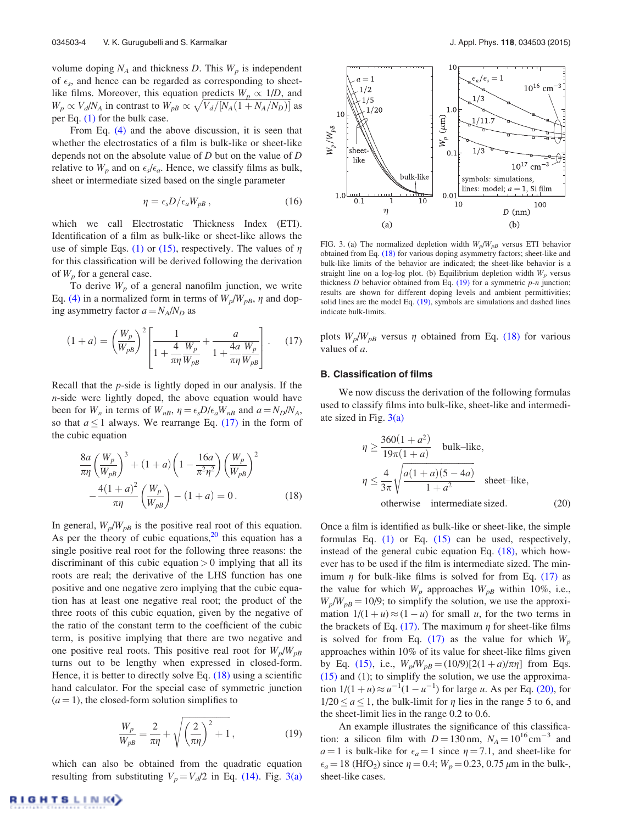volume doping  $N_A$  and thickness  $D$ . This  $W_p$  is independent of  $\epsilon_s$ , and hence can be regarded as corresponding to sheetlike films. Moreover, this equation predicts  $W_p \propto 1/D$ , and  $W_p \propto V_d/N_A$  in contrast to  $W_{pB} \propto \sqrt{V_d/[N_A(1+N_A/N_D)]}$  as per Eq. (1) for the bulk case.

From Eq. (4) and the above discussion, it is seen that whether the electrostatics of a film is bulk-like or sheet-like depends not on the absolute value of *D* but on the value of *D* relative to  $W_p$  and on  $\epsilon_s/\epsilon_a$ . Hence, we classify films as bulk, sheet or intermediate sized based on the single parameter

$$
\eta = \epsilon_s D / \epsilon_a W_{pB} \,, \tag{16}
$$

which we call Electrostatic Thickness Index (ETI). Identification of a film as bulk-like or sheet-like allows the use of simple Eqs. (1) or (15), respectively. The values of  $\eta$ for this classification will be derived following the derivation of *W<sup>p</sup>* for a general case.

To derive  $W_p$  of a general nanofilm junction, we write Eq. (4) in a normalized form in terms of  $W_p/W_{pB}$ ,  $\eta$  and doping asymmetry factor  $a = N_A/N_D$  as

$$
(1+a) = \left(\frac{W_p}{W_{pB}}\right)^2 \left[\frac{1}{1 + \frac{4}{\pi\eta} \frac{W_p}{W_{pB}}} + \frac{a}{1 + \frac{4a}{\pi\eta} \frac{W_p}{W_{pB}}}\right].
$$
 (17)

Recall that the *p*-side is lightly doped in our analysis. If the *n*-side were lightly doped, the above equation would have been for  $W_n$  in terms of  $W_{nB}$ ,  $\eta = \epsilon_s D/\epsilon_a W_{nB}$  and  $a = N_D/N_A$ , so that  $a \le 1$  always. We rearrange Eq. (17) in the form of the cubic equation

$$
\frac{8a}{\pi\eta} \left(\frac{W_p}{W_{pB}}\right)^3 + (1+a) \left(1 - \frac{16a}{\pi^2 \eta^2}\right) \left(\frac{W_p}{W_{pB}}\right)^2 \n- \frac{4(1+a)^2}{\pi\eta} \left(\frac{W_p}{W_{pB}}\right) - (1+a) = 0.
$$
\n(18)

In general,  $W_p/W_{pB}$  is the positive real root of this equation. As per the theory of cubic equations,  $20$  this equation has a single positive real root for the following three reasons: the discriminant of this cubic equation  $> 0$  implying that all its roots are real; the derivative of the LHS function has one positive and one negative zero implying that the cubic equation has at least one negative real root; the product of the three roots of this cubic equation, given by the negative of the ratio of the constant term to the coefficient of the cubic term, is positive implying that there are two negative and one positive real roots. This positive real root for  $W_p/W_{pB}$ turns out to be lengthy when expressed in closed-form. Hence, it is better to directly solve Eq. (18) using a scientific hand calculator. For the special case of symmetric junction  $(a = 1)$ , the closed-form solution simplifies to

$$
\frac{W_p}{W_{pB}} = \frac{2}{\pi \eta} + \sqrt{\left(\frac{2}{\pi \eta}\right)^2 + 1},
$$
\n(19)

which can also be obtained from the quadratic equation resulting from substituting  $V_p = V_d/2$  in Eq. (14). Fig. 3(a)



FIG. 3. (a) The normalized depletion width  $W_p/W_{pB}$  versus ETI behavior obtained from Eq. (18) for various doping asymmetry factors; sheet-like and bulk-like limits of the behavior are indicated; the sheet-like behavior is a straight line on a log-log plot. (b) Equilibrium depletion width  $W_p$  versus thickness *D* behavior obtained from Eq. (19) for a symmetric *p-n* junction; results are shown for different doping levels and ambient permittivities; solid lines are the model Eq. (19), symbols are simulations and dashed lines indicate bulk-limits.

plots  $W_p/W_{pB}$  versus  $\eta$  obtained from Eq. (18) for various values of *a*.

#### B. Classification of films

We now discuss the derivation of the following formulas used to classify films into bulk-like, sheet-like and intermediate sized in Fig.  $3(a)$ 

$$
\eta \ge \frac{360(1+a^2)}{19\pi(1+a)}
$$
 bulk-like,  

$$
\eta \le \frac{4}{3\pi} \sqrt{\frac{a(1+a)(5-4a)}{1+a^2}}
$$
 sheet-like,  
otherwise intermediate sized. (20)

Once a film is identified as bulk-like or sheet-like, the simple formulas Eq. (1) or Eq. (15) can be used, respectively, instead of the general cubic equation Eq. (18), which however has to be used if the film is intermediate sized. The minimum  $\eta$  for bulk-like films is solved for from Eq. (17) as the value for which  $W_p$  approaches  $W_{pB}$  within 10%, i.e.,  $W_p/W_{pB} = 10/9$ ; to simplify the solution, we use the approximation  $1/(1 + u) \approx (1 - u)$  for small *u*, for the two terms in the brackets of Eq. (17). The maximum  $\eta$  for sheet-like films is solved for from Eq. (17) as the value for which  $W_p$ approaches within 10% of its value for sheet-like films given by Eq. (15), i.e.,  $W_p/W_{pB} = (10/9)[2(1 + a)/\pi\eta]$  from Eqs.  $(15)$  and  $(1)$ ; to simplify the solution, we use the approximation  $1/(1 + u) \approx u^{-1}(1 - u^{-1})$  for large *u*. As per Eq. (20), for  $1/20 \le a \le 1$ , the bulk-limit for  $\eta$  lies in the range 5 to 6, and the sheet-limit lies in the range 0.2 to 0.6.

An example illustrates the significance of this classification: a silicon film with  $D = 130$  nm,  $N_A = 10^{16}$  cm<sup>-3</sup> and  $a=1$  is bulk-like for  $\epsilon_a=1$  since  $\eta=7.1$ , and sheet-like for  $\epsilon_a = 18$  (HfO<sub>2</sub>) since  $\eta = 0.4$ ;  $W_p = 0.23$ , 0.75  $\mu$ m in the bulk-, sheet-like cases.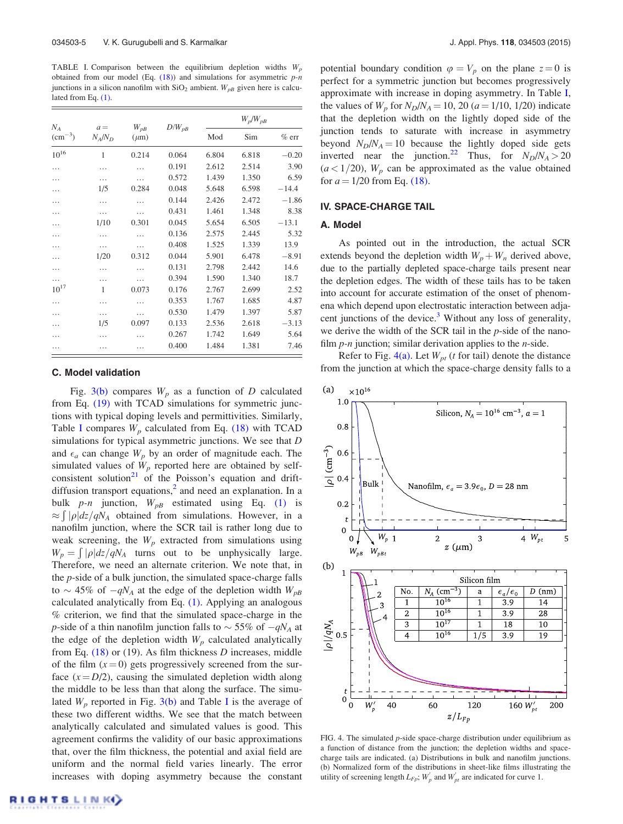TABLE I. Comparison between the equilibrium depletion widths *W<sup>p</sup>* obtained from our model (Eq. (18)) and simulations for asymmetric *p-n* junctions in a silicon nanofilm with  $SiO<sub>2</sub>$  ambient.  $W<sub>pB</sub>$  given here is calculated from Eq. (1).

| $N_A$<br>$\rm (cm^{-3})$ | $a =$<br>$N_A/N_D$ | $W_{pB}$<br>$(\mu m)$ | $D/W_{pB}$ | $W_p/W_{pB}$ |       |         |
|--------------------------|--------------------|-----------------------|------------|--------------|-------|---------|
|                          |                    |                       |            | Mod          | Sim   | $%$ err |
| $10^{16}$                | 1                  | 0.214                 | 0.064      | 6.804        | 6.818 | $-0.20$ |
| .                        | .                  |                       | 0.191      | 2.612        | 2.514 | 3.90    |
| .                        | .                  | .                     | 0.572      | 1.439        | 1.350 | 6.59    |
| .                        | 1/5                | 0.284                 | 0.048      | 5.648        | 6.598 | $-14.4$ |
| .                        | .                  | .                     | 0.144      | 2.426        | 2.472 | $-1.86$ |
| .                        | .                  | .                     | 0.431      | 1.461        | 1.348 | 8.38    |
| .                        | 1/10               | 0.301                 | 0.045      | 5.654        | 6.505 | $-13.1$ |
| .                        | .                  | .                     | 0.136      | 2.575        | 2.445 | 5.32    |
| .                        | .                  | .                     | 0.408      | 1.525        | 1.339 | 13.9    |
| .                        | 1/20               | 0.312                 | 0.044      | 5.901        | 6.478 | $-8.91$ |
| .                        | .                  |                       | 0.131      | 2.798        | 2.442 | 14.6    |
|                          | .                  |                       | 0.394      | 1.590        | 1.340 | 18.7    |
| $10^{17}$                | 1                  | 0.073                 | 0.176      | 2.767        | 2.699 | 2.52    |
| .                        | .                  |                       | 0.353      | 1.767        | 1.685 | 4.87    |
| .                        | .                  | .                     | 0.530      | 1.479        | 1.397 | 5.87    |
| .                        | 1/5                | 0.097                 | 0.133      | 2.536        | 2.618 | $-3.13$ |
| .                        | .                  | .                     | 0.267      | 1.742        | 1.649 | 5.64    |
|                          |                    |                       | 0.400      | 1.484        | 1.381 | 7.46    |

#### C. Model validation

Fig.  $3(b)$  compares  $W_p$  as a function of *D* calculated from Eq. (19) with TCAD simulations for symmetric junctions with typical doping levels and permittivities. Similarly, Table I compares  $W_p$  calculated from Eq. (18) with TCAD simulations for typical asymmetric junctions. We see that *D* and  $\epsilon_a$  can change  $W_p$  by an order of magnitude each. The simulated values of  $W_p$  reported here are obtained by selfconsistent solution<sup>21</sup> of the Poisson's equation and driftdiffusion transport equations, $<sup>2</sup>$  and need an explanation. In a</sup> bulk  $p-n$  junction,  $W_{pB}$  estimated using Eq. (1) is  $\approx \int |\rho| dz / qN_A$  obtained from simulations. However, in a nanofilm junction, where the SCR tail is rather long due to weak screening, the  $W_p$  extracted from simulations using  $W_p = \int_{\rho} |\rho| dz / qN_A$  turns out to be unphysically large. Therefore, we need an alternate criterion. We note that, in the *p*-side of a bulk junction, the simulated space-charge falls to  $\sim$  45% of  $-qN_A$  at the edge of the depletion width  $W_{pB}$ calculated analytically from Eq. (1). Applying an analogous % criterion, we find that the simulated space-charge in the *p*-side of a thin nanofilm junction falls to  $\sim$  55% of  $-qN_A$  at the edge of the depletion width  $W_p$  calculated analytically from Eq. (18) or (19). As film thickness *D* increases, middle of the film  $(x=0)$  gets progressively screened from the surface  $(x = D/2)$ , causing the simulated depletion width along the middle to be less than that along the surface. The simulated  $W_p$  reported in Fig. 3(b) and Table I is the average of these two different widths. We see that the match between analytically calculated and simulated values is good. This agreement confirms the validity of our basic approximations that, over the film thickness, the potential and axial field are uniform and the normal field varies linearly. The error increases with doping asymmetry because the constant potential boundary condition  $\varphi = V_p$  on the plane  $z = 0$  is perfect for a symmetric junction but becomes progressively approximate with increase in doping asymmetry. In Table I, the values of  $W_p$  for  $N_p/N_A = 10$ , 20 ( $a = 1/10$ , 1/20) indicate that the depletion width on the lightly doped side of the junction tends to saturate with increase in asymmetry beyond  $N_D/N_A = 10$  because the lightly doped side gets inverted near the junction.<sup>22</sup> Thus, for  $N_D/N_A > 20$  $(a < 1/20)$ ,  $W_p$  can be approximated as the value obtained for  $a = 1/20$  from Eq. (18).

#### IV. SPACE-CHARGE TAIL

#### A. Model

As pointed out in the introduction, the actual SCR extends beyond the depletion width  $W_p + W_n$  derived above, due to the partially depleted space-charge tails present near the depletion edges. The width of these tails has to be taken into account for accurate estimation of the onset of phenomena which depend upon electrostatic interaction between adjacent junctions of the device. $3$  Without any loss of generality, we derive the width of the SCR tail in the *p*-side of the nanofilm *p-n* junction; similar derivation applies to the *n*-side.

Refer to Fig.  $4(a)$ . Let  $W_{pt}$  (*t* for tail) denote the distance from the junction at which the space-charge density falls to a



FIG. 4. The simulated *p*-side space-charge distribution under equilibrium as a function of distance from the junction; the depletion widths and spacecharge tails are indicated. (a) Distributions in bulk and nanofilm junctions. (b) Normalized form of the distributions in sheet-like films illustrating the utility of screening length  $L_{Fp}$ ;  $W'_p$  and  $W'_{pt}$  are indicated for curve 1.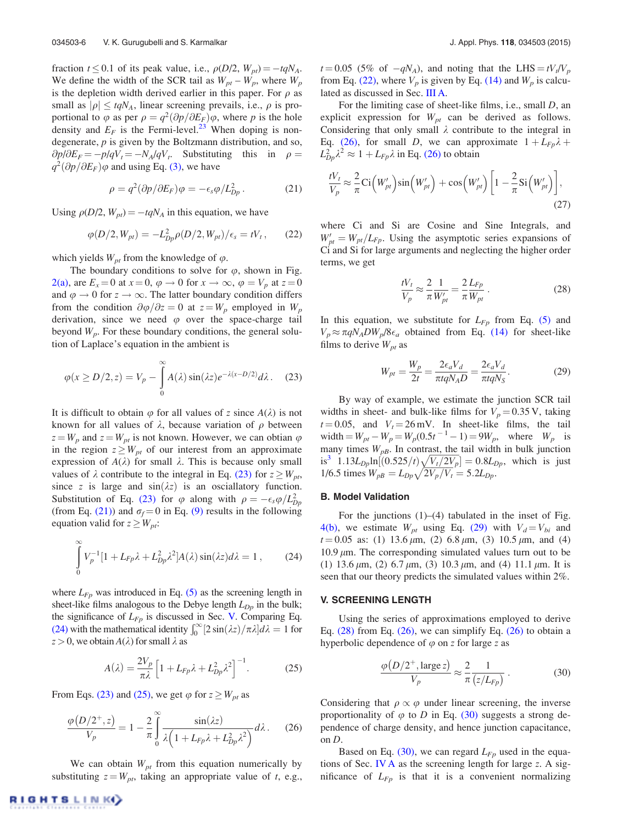fraction  $t \leq 0.1$  of its peak value, i.e.,  $\rho(D/2, W_{pt}) = -tqN_A$ . We define the width of the SCR tail as  $W_{pt} - W_p$ , where  $W_p$ is the depletion width derived earlier in this paper. For  $\rho$  as small as  $|\rho| \leq t q N_A$ , linear screening prevails, i.e.,  $\rho$  is proportional to  $\varphi$  as per  $\rho = q^2(\partial p/\partial E_F)\varphi$ , where *p* is the hole density and  $E_F$  is the Fermi-level.<sup>23</sup> When doping is nondegenerate, *p* is given by the Boltzmann distribution, and so,  $\partial p/\partial E_F = -p/qV_t = -N_A/qV_t$ . Substituting this in  $\rho =$  $q^2(\partial p/\partial E_F)\varphi$  and using Eq. (3), we have

$$
\rho = q^2 (\partial p / \partial E_F) \varphi = -\epsilon_s \varphi / L_{Dp}^2. \qquad (21)
$$

Using  $\rho(D/2, W_{pt}) = -t q N_A$  in this equation, we have

$$
\varphi(D/2, W_{pt}) = -L_{Dp}^2 \rho(D/2, W_{pt})/\epsilon_s = tV_t, \qquad (22)
$$

which yields  $W_{pt}$  from the knowledge of  $\varphi$ .

The boundary conditions to solve for  $\varphi$ , shown in Fig. 2(a), are  $E_x = 0$  at  $x = 0$ ,  $\varphi \to 0$  for  $x \to \infty$ ,  $\varphi = V_p$  at  $z = 0$ and  $\varphi \to 0$  for  $z \to \infty$ . The latter boundary condition differs from the condition  $\partial \varphi / \partial z = 0$  at  $z = W_p$  employed in  $W_p$ derivation, since we need  $\varphi$  over the space-charge tail beyond *Wp*. For these boundary conditions, the general solution of Laplace's equation in the ambient is

$$
\varphi(x \ge D/2, z) = V_p - \int_0^\infty A(\lambda) \sin(\lambda z) e^{-\lambda(x - D/2)} d\lambda. \tag{23}
$$

It is difficult to obtain  $\varphi$  for all values of *z* since  $A(\lambda)$  is not known for all values of  $\lambda$ , because variation of  $\rho$  between  $z = W_p$  and  $z = W_{pt}$  is not known. However, we can obtian  $\varphi$ in the region  $z \geq W_{pt}$  of our interest from an approximate expression of  $A(\lambda)$  for small  $\lambda$ . This is because only small values of  $\lambda$  contribute to the integral in Eq. (23) for  $z \geq W_{pt}$ , since *z* is large and  $sin(\lambda z)$  is an osciallatory function. Substitution of Eq. (23) for  $\varphi$  along with  $\rho = -\epsilon_s \varphi / L_{Dp}^2$ (from Eq. (21)) and  $\sigma_f = 0$  in Eq. (9) results in the following equation valid for  $z \geq W_{pt}$ :

$$
\int_{0}^{\infty} V_p^{-1} [1 + L_{Fp}\lambda + L_{Dp}^2 \lambda^2] A(\lambda) \sin(\lambda z) d\lambda = 1 , \qquad (24)
$$

where  $L_{F_p}$  was introduced in Eq.  $(5)$  as the screening length in sheet-like films analogous to the Debye length *LDp* in the bulk; the significance of  $L_{F_p}$  is discussed in Sec. V. Comparing Eq. (24) with the mathematical identity  $\int_0^\infty [2\sin(\lambda z)/\pi\lambda] d\lambda = 1$  for  $z > 0$ , we obtain  $A(\lambda)$  for small  $\lambda$  as

$$
A(\lambda) = \frac{2V_p}{\pi\lambda} \left[ 1 + L_{Fp}\lambda + L_{Dp}^2 \lambda^2 \right]^{-1}.
$$
 (25)

From Eqs. (23) and (25), we get  $\varphi$  for  $z \geq W_{pt}$  as

$$
\frac{\varphi(D/2^+,z)}{V_p} = 1 - \frac{2}{\pi} \int_0^\infty \frac{\sin(\lambda z)}{\lambda \left(1 + L_{Fp}\lambda + L_{Dp}^2 \lambda^2\right)} d\lambda. \tag{26}
$$

We can obtain  $W_{pt}$  from this equation numerically by substituting  $z = W_{pt}$ , taking an appropriate value of *t*, e.g.,

 $t = 0.05$  (5% of  $-qN_A$ ), and noting that the LHS  $= tV_t/V_p$ from Eq. (22), where  $V_p$  is given by Eq. (14) and  $W_p$  is calculated as discussed in Sec. III A.

For the limiting case of sheet-like films, i.e., small *D*, an explicit expression for *Wpt* can be derived as follows. Considering that only small  $\lambda$  contribute to the integral in Eq. (26), for small *D*, we can approximate  $1 + L_{Fp}\lambda +$  $L_{Dp}^2 \lambda^2 \approx 1 + L_{Fp} \lambda$  in Eq. (26) to obtain

$$
\frac{tV_t}{V_p} \approx \frac{2}{\pi} \text{Ci}\left(W_{pt}'\right)\sin\left(W_{pt}'\right) + \cos\left(W_{pt}'\right)\left[1 - \frac{2}{\pi}\text{Si}\left(W_{pt}'\right)\right],\tag{27}
$$

where Ci and Si are Cosine and Sine Integrals, and  $W'_{pt} = W_{pt}/L_{Fp}$ . Using the asymptotic series expansions of Ci and Si for large arguments and neglecting the higher order terms, we get

$$
\frac{tV_t}{V_p} \approx \frac{2}{\pi} \frac{1}{W'_{pt}} = \frac{2}{\pi} \frac{L_{Fp}}{W_{pt}}.
$$
\n(28)

In this equation, we substitute for  $L_{F_p}$  from Eq. (5) and  $V_p \approx \pi q N_A D W_p / 8 \epsilon_a$  obtained from Eq. (14) for sheet-like films to derive  $W_{pt}$  as

$$
W_{pt} = \frac{W_p}{2t} = \frac{2\epsilon_a V_d}{\pi t q N_A D} = \frac{2\epsilon_a V_d}{\pi t q N_S}.
$$
 (29)

By way of example, we estimate the junction SCR tail widths in sheet- and bulk-like films for  $V_p = 0.35$  V, taking  $t = 0.05$ , and  $V_t = 26$  mV. In sheet-like films, the tail  $\text{width} = W_{pt} - W_p = W_p(0.5t^{-1} - 1) = 9W_p, \text{ where } W_p \text{ is}$ many times  $W_{pB}$ . In contrast, the tail width in bulk junction  $i s^3$  1.13*L*<sub>*Dp*</sub> $\ln[(0.525/t)\sqrt{V_t/2V_p}] = 0.8L_{Dp}$ , which is just  $1/6.5$  times  $W_{pB} = L_{Dp} \sqrt{2V_p/V_t} = 5.2L_{Dp}$ .

#### B. Model Validation

For the junctions  $(1)$ – $(4)$  tabulated in the inset of Fig. 4(b), we estimate  $W_{pt}$  using Eq. (29) with  $V_d = V_{bi}$  and  $t = 0.05$  as: (1) 13.6  $\mu$ m, (2) 6.8  $\mu$ m, (3) 10.5  $\mu$ m, and (4)  $10.9 \mu m$ . The corresponding simulated values turn out to be (1) 13.6  $\mu$ m, (2) 6.7  $\mu$ m, (3) 10.3  $\mu$ m, and (4) 11.1  $\mu$ m. It is seen that our theory predicts the simulated values within 2%.

#### V. SCREENING LENGTH

Using the series of approximations employed to derive Eq.  $(28)$  from Eq.  $(26)$ , we can simplify Eq.  $(26)$  to obtain a hyperbolic dependence of  $\varphi$  on *z* for large *z* as

$$
\frac{\varphi(D/2^+, \text{large } z)}{V_p} \approx \frac{2}{\pi} \frac{1}{(z/L_{Fp})} \,. \tag{30}
$$

Considering that  $\rho \propto \varphi$  under linear screening, the inverse proportionality of  $\varphi$  to *D* in Eq. (30) suggests a strong dependence of charge density, and hence junction capacitance, on *D*.

Based on Eq.  $(30)$ , we can regard  $L_{F_p}$  used in the equations of Sec. IV A as the screening length for large *z*. A significance of *LFp* is that it is a convenient normalizing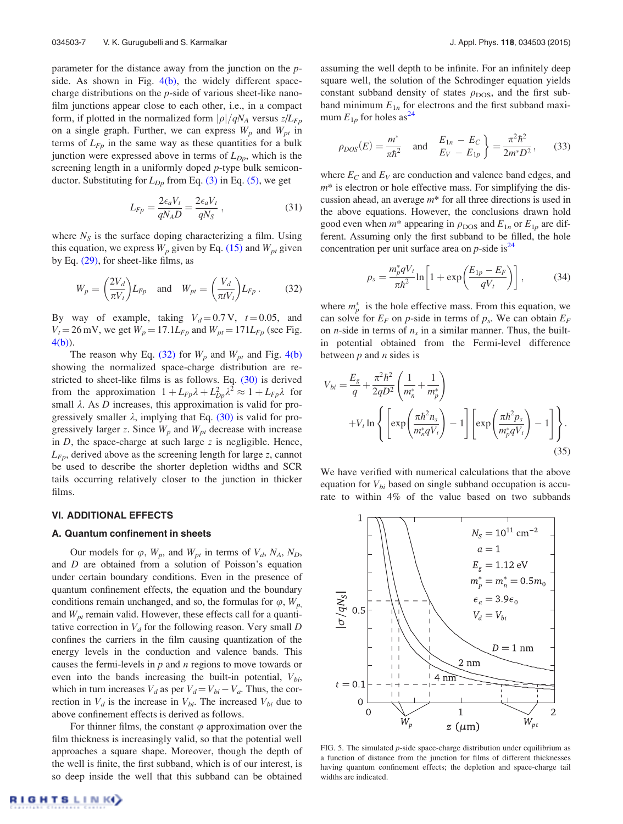parameter for the distance away from the junction on the *p*side. As shown in Fig. 4(b), the widely different spacecharge distributions on the *p*-side of various sheet-like nanofilm junctions appear close to each other, i.e., in a compact form, if plotted in the normalized form  $|\rho|/qN_A$  versus  $z/L_{Fp}$ on a single graph. Further, we can express  $W_p$  and  $W_{pt}$  in terms of  $L_{F_p}$  in the same way as these quantities for a bulk junction were expressed above in terms of *LDp*, which is the screening length in a uniformly doped *p*-type bulk semiconductor. Substituting for  $L_{Dp}$  from Eq. (3) in Eq. (5), we get

$$
L_{Fp} = \frac{2\epsilon_a V_t}{qN_A D} = \frac{2\epsilon_a V_t}{qN_S} ,
$$
\n(31)

where  $N<sub>S</sub>$  is the surface doping characterizing a film. Using this equation, we express  $W_p$  given by Eq. (15) and  $W_{pt}$  given by Eq. (29), for sheet-like films, as

$$
W_p = \left(\frac{2V_d}{\pi V_t}\right) L_{Fp} \quad \text{and} \quad W_{pt} = \left(\frac{V_d}{\pi t V_t}\right) L_{Fp} \,. \tag{32}
$$

By way of example, taking  $V_d = 0.7 \text{ V}$ ,  $t = 0.05$ , and  $V_t = 26$  mV, we get  $W_p = 17.1L_{Fp}$  and  $W_{pt} = 171L_{Fp}$  (see Fig. 4(b)).

The reason why Eq. (32) for  $W_p$  and  $W_{pt}$  and Fig. 4(b) showing the normalized space-charge distribution are restricted to sheet-like films is as follows. Eq. (30) is derived from the approximation  $1 + L_{Fp} \lambda + L_{Dp}^2 \lambda^2 \approx 1 + L_{Fp} \lambda$  for small  $\lambda$ . As  $D$  increases, this approximation is valid for progressively smaller  $\lambda$ , implying that Eq. (30) is valid for progressively larger *z*. Since  $W_p$  and  $W_{pt}$  decrease with increase in *D*, the space-charge at such large *z* is negligible. Hence, *LFp*, derived above as the screening length for large *z*, cannot be used to describe the shorter depletion widths and SCR tails occurring relatively closer to the junction in thicker films.

#### VI. ADDITIONAL EFFECTS

### A. Quantum confinement in sheets

Our models for  $\varphi$ ,  $W_p$ , and  $W_{pt}$  in terms of  $V_d$ ,  $N_A$ ,  $N_D$ , and *D* are obtained from a solution of Poisson's equation under certain boundary conditions. Even in the presence of quantum confinement effects, the equation and the boundary conditions remain unchanged, and so, the formulas for  $\varphi$ ,  $W_p$ , and *Wpt* remain valid. However, these effects call for a quantitative correction in *V<sup>d</sup>* for the following reason. Very small *D* confines the carriers in the film causing quantization of the energy levels in the conduction and valence bands. This causes the fermi-levels in *p* and *n* regions to move towards or even into the bands increasing the built-in potential, *Vbi*, which in turn increases  $V_d$  as per  $V_d = V_{bi} - V_a$ . Thus, the correction in  $V_d$  is the increase in  $V_{bi}$ . The increased  $V_{bi}$  due to above confinement effects is derived as follows.

For thinner films, the constant  $\varphi$  approximation over the film thickness is increasingly valid, so that the potential well approaches a square shape. Moreover, though the depth of the well is finite, the first subband, which is of our interest, is so deep inside the well that this subband can be obtained assuming the well depth to be infinite. For an infinitely deep square well, the solution of the Schrodinger equation yields constant subband density of states  $\rho_{\text{DOS}}$ , and the first subband minimum  $E_{1n}$  for electrons and the first subband maximum  $E_{1p}$  for holes as<sup>24</sup>

$$
\rho_{DOS}(E) = \frac{m^*}{\pi \hbar^2}
$$
 and  $\frac{E_{1n} - E_C}{E_V - E_{1p}} = \frac{\pi^2 \hbar^2}{2m^* D^2}$ , (33)

where  $E_C$  and  $E_V$  are conduction and valence band edges, and *m*\* is electron or hole effective mass. For simplifying the discussion ahead, an average *m*\* for all three directions is used in the above equations. However, the conclusions drawn hold good even when  $m^*$  appearing in  $\rho_{\text{DOS}}$  and  $E_{1n}$  or  $E_{1p}$  are different. Assuming only the first subband to be filled, the hole concentration per unit surface area on  $p$ -side is<sup>24</sup>

$$
p_s = \frac{m_p^* q V_t}{\pi \hbar^2} \ln \left[ 1 + \exp\left(\frac{E_{1p} - E_F}{q V_t}\right) \right],\tag{34}
$$

where  $m_p^*$  is the hole effective mass. From this equation, we can solve for  $E_F$  on *p*-side in terms of  $p_s$ . We can obtain  $E_F$ on *n*-side in terms of  $n<sub>s</sub>$  in a similar manner. Thus, the builtin potential obtained from the Fermi-level difference between *p* and *n* sides is

$$
V_{bi} = \frac{E_g}{q} + \frac{\pi^2 \hbar^2}{2qD^2} \left( \frac{1}{m_n^*} + \frac{1}{m_p^*} \right)
$$
  
+
$$
V_t \ln \left\{ \left[ \exp \left( \frac{\pi \hbar^2 n_s}{m_n^* q V_t} \right) - 1 \right] \left[ \exp \left( \frac{\pi \hbar^2 p_s}{m_p^* q V_t} \right) - 1 \right] \right\}.
$$
 (35)

We have verified with numerical calculations that the above equation for  $V_{bi}$  based on single subband occupation is accurate to within 4% of the value based on two subbands



FIG. 5. The simulated *p*-side space-charge distribution under equilibrium as a function of distance from the junction for films of different thicknesses having quantum confinement effects; the depletion and space-charge tail widths are indicated.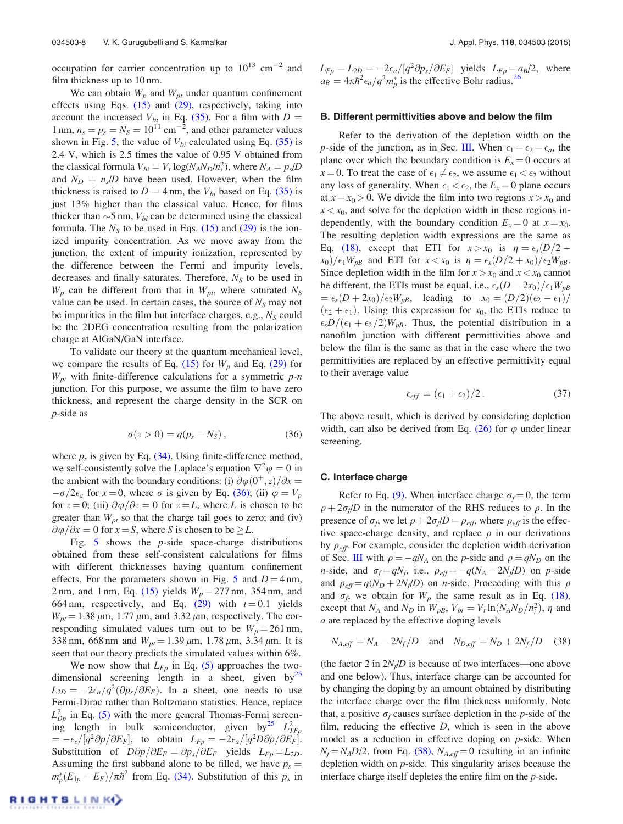occupation for carrier concentration up to  $10^{13}$  cm<sup>-2</sup> and film thickness up to 10 nm.

We can obtain  $W_p$  and  $W_{pt}$  under quantum confinement effects using Eqs.  $(15)$  and  $(29)$ , respectively, taking into account the increased  $V_{bi}$  in Eq. (35). For a film with  $D =$ 1 nm,  $n_s = p_s = N_S = 10^{11}$  cm<sup>-2</sup>, and other parameter values shown in Fig. 5, the value of  $V_{bi}$  calculated using Eq. (35) is 2.4 V, which is 2.5 times the value of 0.95 V obtained from the classical formula  $V_{bi} = V_t \log(N_A N_D/n_i^2)$ , where  $N_A = p_s/D$ and  $N_D = n_s/D$  have been used. However, when the film thickness is raised to  $D = 4$  nm, the  $V_{bi}$  based on Eq. (35) is just 13% higher than the classical value. Hence, for films thicker than  $\sim$ 5 nm,  $V_{bi}$  can be determined using the classical formula. The  $N<sub>S</sub>$  to be used in Eqs. (15) and (29) is the ionized impurity concentration. As we move away from the junction, the extent of impurity ionization, represented by the difference between the Fermi and impurity levels, decreases and finally saturates. Therefore, *N<sup>S</sup>* to be used in  $W_p$  can be different from that in  $W_{pt}$ , where saturated  $N_s$ value can be used. In certain cases, the source of  $N<sub>S</sub>$  may not be impurities in the film but interface charges, e.g., *N<sup>S</sup>* could be the 2DEG concentration resulting from the polarization charge at AlGaN/GaN interface.

To validate our theory at the quantum mechanical level, we compare the results of Eq.  $(15)$  for  $W_p$  and Eq.  $(29)$  for *Wpt* with finite-difference calculations for a symmetric *p-n* junction. For this purpose, we assume the film to have zero thickness, and represent the charge density in the SCR on *p*-side as

$$
\sigma(z > 0) = q(p_s - N_S), \qquad (36)
$$

where  $p_s$  is given by Eq.  $(34)$ . Using finite-difference method, we self-consistently solve the Laplace's equation  $\nabla^2 \varphi = 0$  in the ambient with the boundary conditions: (i)  $\partial \varphi(0^+, z)/\partial x =$  $-\sigma/2\epsilon_a$  for  $x=0$ , where  $\sigma$  is given by Eq. (36); (ii)  $\varphi = V_p$ for  $z = 0$ ; (iii)  $\partial \varphi / \partial z = 0$  for  $z = L$ , where *L* is chosen to be greater than  $W_{pt}$  so that the charge tail goes to zero; and (iv)  $\partial \varphi / \partial x = 0$  for  $x = S$ , where *S* is chosen to be  $\geq L$ .

Fig. 5 shows the *p*-side space-charge distributions obtained from these self-consistent calculations for films with different thicknesses having quantum confinement effects. For the parameters shown in Fig. 5 and  $D = 4$  nm, 2 nm, and 1 nm, Eq. (15) yields  $W_p = 277$  nm, 354 nm, and 664 nm, respectively, and Eq.  $(29)$  with  $t = 0.1$  yields  $W_{pt}$  = 1.38  $\mu$ m, 1.77  $\mu$ m, and 3.32  $\mu$ m, respectively. The corresponding simulated values turn out to be  $W_p = 261$  nm, 338 nm, 668 nm and  $W_{pt} = 1.39 \,\mu \text{m}$ , 1.78  $\mu \text{m}$ , 3.34  $\mu \text{m}$ . It is seen that our theory predicts the simulated values within 6%.

We now show that  $L_{F_p}$  in Eq. (5) approaches the twodimensional screening length in a sheet, given by<sup>25</sup>  $L_{2D} = -2\epsilon_a/q^2(\partial p_s/\partial E_F)$ . In a sheet, one needs to use Fermi-Dirac rather than Boltzmann statistics. Hence, replace  $L_{D_p}^2$  in Eq. (5) with the more general Thomas-Fermi screening length in bulk semiconductor, given by<sup>25</sup>  $L_{TFp}^2$  $= -\epsilon_s/[q^2\partial p/\partial E_F],$  to obtain  $L_{Fp} = -2\epsilon_a/[q^2D\partial p/\partial E_F].$ Substitution of  $D\partial p/\partial E_F = \partial p_s/\partial E_F$  yields  $L_{Fp} = L_{2D}$ . Assuming the first subband alone to be filled, we have  $p_s =$  $m_p^*(E_{1p} - E_F)/\pi\hbar^2$  from Eq. (34). Substitution of this  $p_s$  in  $L_{Fp} = L_{2D} = -2\epsilon_a/[q^2 \partial p_s/\partial E_F]$  yields  $L_{Fp} = a_B/2$ , where  $a_B = 4\pi\hbar^2 \epsilon_a / q^2 m_p^*$  is the effective Bohr radius.<sup>26</sup>

#### B. Different permittivities above and below the film

Refer to the derivation of the depletion width on the *p*-side of the junction, as in Sec. III. When  $\epsilon_1 = \epsilon_2 = \epsilon_a$ , the plane over which the boundary condition is  $E_x = 0$  occurs at  $x = 0$ . To treat the case of  $\epsilon_1 \neq \epsilon_2$ , we assume  $\epsilon_1 < \epsilon_2$  without any loss of generality. When  $\epsilon_1 < \epsilon_2$ , the  $E_x = 0$  plane occurs at  $x = x_0 > 0$ . We divide the film into two regions  $x > x_0$  and  $x < x_0$ , and solve for the depletion width in these regions independently, with the boundary condition  $E_x = 0$  at  $x = x_0$ . The resulting depletion width expressions are the same as Eq. (18), except that ETI for  $x > x_0$  is  $\eta = \epsilon_s (D/2$  $f(x_0)/\epsilon_1 W_{pB}$  and ETI for  $x < x_0$  is  $\eta = \epsilon_s(D/2 + x_0)/\epsilon_2 W_{pB}$ . Since depletion width in the film for  $x > x_0$  and  $x < x_0$  cannot be different, the ETIs must be equal, i.e.,  $\epsilon_s(D-2x_0)/\epsilon_1W_{pB}$  $=\epsilon_s(D+2x_0)/\epsilon_2W_{pB}$ , leading to  $x_0=(D/2)(\epsilon_2-\epsilon_1)/\epsilon_2$  $(\epsilon_2 + \epsilon_1)$ . Using this expression for  $x_0$ , the ETIs reduce to  $\epsilon_s D/(\epsilon_1 + \epsilon_2/2)W_{pB}$ . Thus, the potential distribution in a nanofilm junction with different permittivities above and below the film is the same as that in the case where the two permittivities are replaced by an effective permittivity equal to their average value

$$
\epsilon_{eff} = (\epsilon_1 + \epsilon_2)/2. \tag{37}
$$

The above result, which is derived by considering depletion width, can also be derived from Eq.  $(26)$  for  $\varphi$  under linear screening.

#### C. Interface charge

Refer to Eq. (9). When interface charge  $\sigma_f = 0$ , the term  $\rho + 2\sigma_f/D$  in the numerator of the RHS reduces to  $\rho$ . In the presence of  $\sigma_f$ , we let  $\rho + 2\sigma_f/D = \rho_{eff}$ , where  $\rho_{eff}$  is the effective space-charge density, and replace  $\rho$  in our derivations by  $\rho_{\text{eff}}$ . For example, consider the depletion width derivation of Sec. III with  $\rho = -qN_A$  on the *p*-side and  $\rho = qN_D$  on the *n*-side, and  $\sigma_f = qN_f$ , i.e.,  $\rho_{eff} = -q(N_A - 2N_f/D)$  on *p*-side and  $\rho_{\text{eff}} = q(N_D + 2N_f/D)$  on *n*-side. Proceeding with this  $\rho$ and  $\sigma_f$ , we obtain for  $W_p$  the same result as in Eq. (18), except that  $N_A$  and  $N_D$  in  $W_{pB}$ ,  $V_{bi} = V_t \ln(N_A N_D/n_i^2)$ ,  $\eta$  and *a* are replaced by the effective doping levels

$$
N_{A,eff} = N_A - 2N_f/D
$$
 and  $N_{D,eff} = N_D + 2N_f/D$  (38)

(the factor 2 in  $2N_f/D$  is because of two interfaces—one above and one below). Thus, interface charge can be accounted for by changing the doping by an amount obtained by distributing the interface charge over the film thickness uniformly. Note that, a positive  $\sigma_f$  causes surface depletion in the *p*-side of the film, reducing the effective *D*, which is seen in the above model as a reduction in effective doping on *p*-side. When  $N_f = N_A D/2$ , from Eq. (38),  $N_{A,eff} = 0$  resulting in an infinite depletion width on *p*-side. This singularity arises because the interface charge itself depletes the entire film on the *p*-side.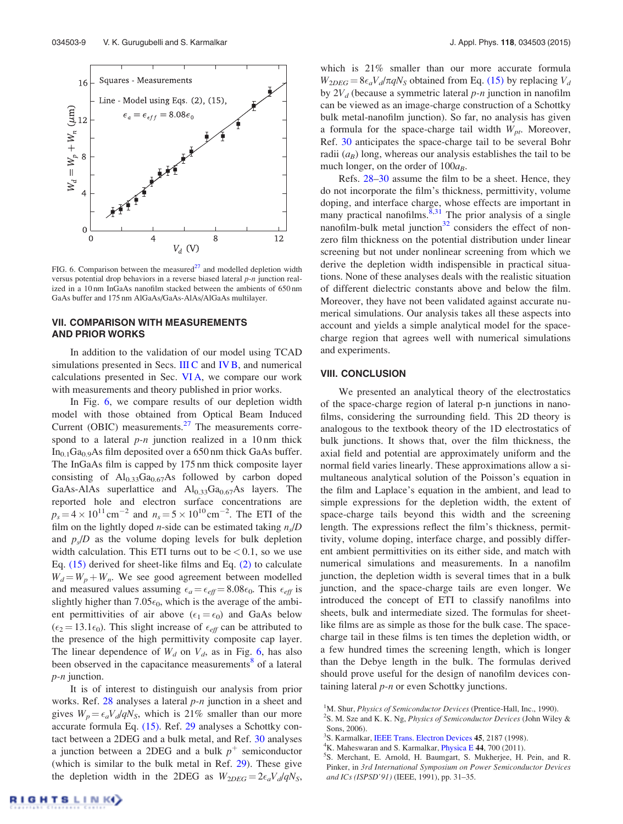

FIG. 6. Comparison between the measured $^{27}$  and modelled depletion width versus potential drop behaviors in a reverse biased lateral *p-n* junction realized in a 10 nm InGaAs nanofilm stacked between the ambients of 650 nm GaAs buffer and 175 nm AlGaAs/GaAs-AlAs/AlGaAs multilayer.

# VII. COMPARISON WITH MEASUREMENTS AND PRIOR WORKS

In addition to the validation of our model using TCAD simulations presented in Secs. III C and IV B, and numerical calculations presented in Sec. VI A, we compare our work with measurements and theory published in prior works.

In Fig. 6, we compare results of our depletion width model with those obtained from Optical Beam Induced Current (OBIC) measurements. $27$  The measurements correspond to a lateral *p-n* junction realized in a 10 nm thick  $In<sub>0.1</sub>Ga<sub>0.9</sub>As film deposited over a 650 nm thick GaAs buffer.$ The InGaAs film is capped by 175 nm thick composite layer consisting of  $Al_{0.33}Ga_{0.67}As$  followed by carbon doped GaAs-AlAs superlattice and  $Al_{0.33}Ga_{0.67}As$  layers. The reported hole and electron surface concentrations are  $p_s = 4 \times 10^{11} \text{ cm}^{-2}$  and  $n_s = 5 \times 10^{10} \text{ cm}^{-2}$ . The ETI of the film on the lightly doped *n*-side can be estimated taking *n<sup>s</sup>* /*D* and  $p_s/D$  as the volume doping levels for bulk depletion width calculation. This ETI turns out to be  $< 0.1$ , so we use Eq. (15) derived for sheet-like films and Eq. (2) to calculate  $W_d = W_p + W_n$ . We see good agreement between modelled and measured values assuming  $\epsilon_a = \epsilon_{eff} = 8.08\epsilon_0$ . This  $\epsilon_{eff}$  is slightly higher than  $7.05\epsilon_0$ , which is the average of the ambient permittivities of air above  $(\epsilon_1 = \epsilon_0)$  and GaAs below  $(\epsilon_2 = 13.1\epsilon_0)$ . This slight increase of  $\epsilon_{\text{eff}}$  can be attributed to the presence of the high permittivity composite cap layer. The linear dependence of  $W_d$  on  $V_d$ , as in Fig. 6, has also been observed in the capacitance measurements<sup>8</sup> of a lateral *p-n* junction.

It is of interest to distinguish our analysis from prior works. Ref. 28 analyses a lateral *p-n* junction in a sheet and gives  $W_p = \epsilon_a V_d / qN_s$ , which is 21% smaller than our more accurate formula Eq. (15). Ref. 29 analyses a Schottky contact between a 2DEG and a bulk metal, and Ref. 30 analyses a junction between a 2DEG and a bulk  $p^+$  semiconductor (which is similar to the bulk metal in Ref. 29). These give the depletion width in the 2DEG as  $W_{2DEG} = 2\epsilon_a V_d/qN_s$ ,

which is 21% smaller than our more accurate formula  $W_{2DEG} = 8\epsilon_a V_d/\pi q N_S$  obtained from Eq. (15) by replacing  $V_d$ by 2*V<sup>d</sup>* (because a symmetric lateral *p-n* junction in nanofilm can be viewed as an image-charge construction of a Schottky bulk metal-nanofilm junction). So far, no analysis has given a formula for the space-charge tail width  $W_{pt}$ . Moreover, Ref. 30 anticipates the space-charge tail to be several Bohr radii  $(a_B)$  long, whereas our analysis establishes the tail to be much longer, on the order of  $100a_B$ .

Refs. 28–30 assume the film to be a sheet. Hence, they do not incorporate the film's thickness, permittivity, volume doping, and interface charge, whose effects are important in many practical nanofilms.  $\frac{8,31}{ }$  The prior analysis of a single nanofilm-bulk metal junction $32$  considers the effect of nonzero film thickness on the potential distribution under linear screening but not under nonlinear screening from which we derive the depletion width indispensible in practical situations. None of these analyses deals with the realistic situation of different dielectric constants above and below the film. Moreover, they have not been validated against accurate numerical simulations. Our analysis takes all these aspects into account and yields a simple analytical model for the spacecharge region that agrees well with numerical simulations and experiments.

#### VIII. CONCLUSION

We presented an analytical theory of the electrostatics of the space-charge region of lateral p-n junctions in nanofilms, considering the surrounding field. This 2D theory is analogous to the textbook theory of the 1D electrostatics of bulk junctions. It shows that, over the film thickness, the axial field and potential are approximately uniform and the normal field varies linearly. These approximations allow a simultaneous analytical solution of the Poisson's equation in the film and Laplace's equation in the ambient, and lead to simple expressions for the depletion width, the extent of space-charge tails beyond this width and the screening length. The expressions reflect the film's thickness, permittivity, volume doping, interface charge, and possibly different ambient permittivities on its either side, and match with numerical simulations and measurements. In a nanofilm junction, the depletion width is several times that in a bulk junction, and the space-charge tails are even longer. We introduced the concept of ETI to classify nanofilms into sheets, bulk and intermediate sized. The formulas for sheetlike films are as simple as those for the bulk case. The spacecharge tail in these films is ten times the depletion width, or a few hundred times the screening length, which is longer than the Debye length in the bulk. The formulas derived should prove useful for the design of nanofilm devices containing lateral *p-n* or even Schottky junctions.

- <sup>3</sup>S. Karmalkar, IEEE Trans. Electron Devices 45, 2187 (1998).
- <sup>4</sup>K. Maheswaran and S. Karmalkar, *Physica* E 44, 700 (2011).

<sup>&</sup>lt;sup>1</sup>M. Shur, *Physics of Semiconductor Devices* (Prentice-Hall, Inc., 1990).

<sup>2</sup> S. M. Sze and K. K. Ng, *Physics of Semiconductor Devices* (John Wiley & Sons, 2006).

<sup>5</sup> S. Merchant, E. Arnold, H. Baumgart, S. Mukherjee, H. Pein, and R. Pinker, in *3rd International Symposium on Power Semiconductor Devices and ICs (ISPSD'91)* (IEEE, 1991), pp. 31–35.